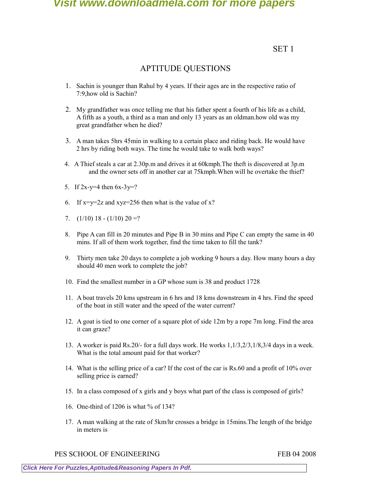SET 1

# APTITUDE QUESTIONS

- 1. Sachin is younger than Rahul by 4 years. If their ages are in the respective ratio of 7:9,how old is Sachin?
- 2. My grandfather was once telling me that his father spent a fourth of his life as a child, A fifth as a youth, a third as a man and only 13 years as an oldman.how old was my great grandfather when he died?
- 3. A man takes 5hrs 45min in walking to a certain place and riding back. He would have 2 hrs by riding both ways. The time he would take to walk both ways?
- 4. A Thief steals a car at 2.30p.m and drives it at 60kmph.The theft is discovered at 3p.m and the owner sets off in another car at 75kmph.When will he overtake the thief?
- 5. If  $2x-y=4$  then  $6x-3y=?$
- 6. If  $x=y=2z$  and  $xyz=256$  then what is the value of x?
- 7.  $(1/10)$  18  $(1/10)$  20 =?
- 8. Pipe A can fill in 20 minutes and Pipe B in 30 mins and Pipe C can empty the same in 40 mins. If all of them work together, find the time taken to fill the tank?
- 9. Thirty men take 20 days to complete a job working 9 hours a day. How many hours a day should 40 men work to complete the job?
- 10. Find the smallest number in a GP whose sum is 38 and product 1728
- 11. A boat travels 20 kms upstream in 6 hrs and 18 kms downstream in 4 hrs. Find the speed of the boat in still water and the speed of the water current?
- 12. A goat is tied to one corner of a square plot of side 12m by a rope 7m long. Find the area it can graze?
- 13. A worker is paid Rs.20/- for a full days work. He works 1,1/3,2/3,1/8,3/4 days in a week. What is the total amount paid for that worker?
- 14. What is the selling price of a car? If the cost of the car is Rs.60 and a profit of 10% over selling price is earned?
- 15. In a class composed of x girls and y boys what part of the class is composed of girls?
- 16. One-third of 1206 is what % of 134?
- 17. A man walking at the rate of 5km/hr crosses a bridge in 15mins.The length of the bridge in meters is

PES SCHOOL OF ENGINEERING FEB 04 2008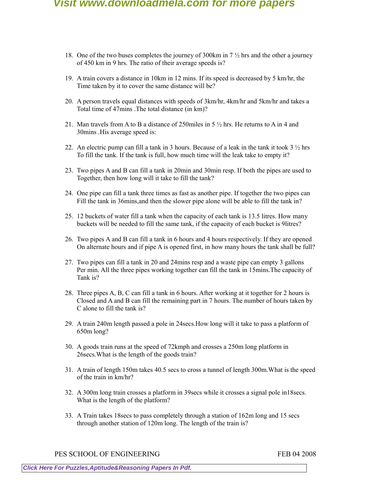- 18. One of the two buses completes the journey of 300km in 7 ½ hrs and the other a journey of 450 km in 9 hrs. The ratio of their average speeds is?
- 19. A train covers a distance in 10km in 12 mins. If its speed is decreased by 5 km/hr, the Time taken by it to cover the same distance will be?
- 20. A person travels equal distances with speeds of 3km/hr, 4km/hr and 5km/hr and takes a Total time of 47mins .The total distance (in km)?
- 21. Man travels from A to B a distance of 250miles in  $5\frac{1}{2}$  hrs. He returns to A in 4 and 30mins .His average speed is:
- 22. An electric pump can fill a tank in 3 hours. Because of a leak in the tank it took  $3\frac{1}{2}$  hrs To fill the tank. If the tank is full, how much time will the leak take to empty it?
- 23. Two pipes A and B can fill a tank in 20min and 30min resp. If both the pipes are used to Together, then how long will it take to fill the tank?
- 24. One pipe can fill a tank three times as fast as another pipe. If together the two pipes can Fill the tank in 36mins,and then the slower pipe alone will be able to fill the tank in?
- 25. 12 buckets of water fill a tank when the capacity of each tank is 13.5 litres. How many buckets will be needed to fill the same tank, if the capacity of each bucket is 9litres?
- 26. Two pipes A and B can fill a tank in 6 hours and 4 hours respectively. If they are opened On alternate hours and if pipe A is opened first, in how many hours the tank shall be full?
- 27. Two pipes can fill a tank in 20 and 24mins resp and a waste pipe can empty 3 gallons Per min. All the three pipes working together can fill the tank in 15mins.The capacity of Tank is?
- 28. Three pipes A, B, C can fill a tank in 6 hours. After working at it together for 2 hours is Closed and A and B can fill the remaining part in 7 hours. The number of hours taken by C alone to fill the tank is?
- 29. A train 240m length passed a pole in 24secs.How long will it take to pass a platform of 650m long?
- 30. A goods train runs at the speed of 72kmph and crosses a 250m long platform in 26secs.What is the length of the goods train?
- 31. A train of length 150m takes 40.5 secs to cross a tunnel of length 300m.What is the speed of the train in km/hr?
- 32. A 300m long train crosses a platform in 39secs while it crosses a signal pole in18secs. What is the length of the platform?
- 33. A Train takes 18secs to pass completely through a station of 162m long and 15 secs through another station of 120m long. The length of the train is?

PES SCHOOL OF ENGINEERING FEB 04 2008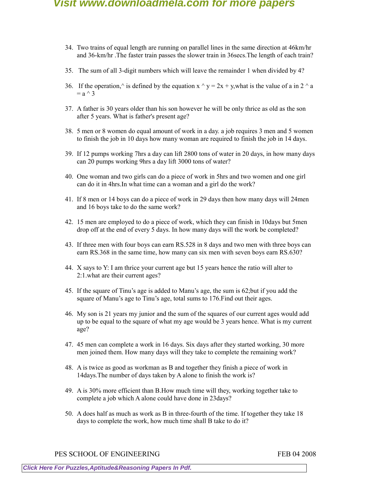- 34. Two trains of equal length are running on parallel lines in the same direction at 46km/hr and 36-km/hr .The faster train passes the slower train in 36secs.The length of each train?
- 35. The sum of all 3-digit numbers which will leave the remainder 1 when divided by 4?
- 36. If the operation,  $\hat{ }$  is defined by the equation x  $\hat{ }$  y = 2x + y,what is the value of a in 2  $\hat{ }$  a  $=$  a  $\wedge$  3
- 37. A father is 30 years older than his son however he will be only thrice as old as the son after 5 years. What is father's present age?
- 38. 5 men or 8 women do equal amount of work in a day. a job requires 3 men and 5 women to finish the job in 10 days how many woman are required to finish the job in 14 days.
- 39. If 12 pumps working 7hrs a day can lift 2800 tons of water in 20 days, in how many days can 20 pumps working 9hrs a day lift 3000 tons of water?
- 40. One woman and two girls can do a piece of work in 5hrs and two women and one girl can do it in 4hrs.In what time can a woman and a girl do the work?
- 41. If 8 men or 14 boys can do a piece of work in 29 days then how many days will 24men and 16 boys take to do the same work?
- 42. 15 men are employed to do a piece of work, which they can finish in 10days but 5men drop off at the end of every 5 days. In how many days will the work be completed?
- 43. If three men with four boys can earn RS.528 in 8 days and two men with three boys can earn RS.368 in the same time, how many can six men with seven boys earn RS.630?
- 44. X says to Y: I am thrice your current age but 15 years hence the ratio will alter to 2:1.what are their current ages?
- 45. If the square of Tinu's age is added to Manu's age, the sum is 62;but if you add the square of Manu's age to Tinu's age, total sums to 176.Find out their ages.
- 46. My son is 21 years my junior and the sum of the squares of our current ages would add up to be equal to the square of what my age would be 3 years hence. What is my current age?
- 47. 45 men can complete a work in 16 days. Six days after they started working, 30 more men joined them. How many days will they take to complete the remaining work?
- 48. A is twice as good as workman as B and together they finish a piece of work in 14days.The number of days taken by A alone to finish the work is?
- 49. A is 30% more efficient than B.How much time will they, working together take to complete a job which A alone could have done in 23days?
- 50. A does half as much as work as B in three-fourth of the time. If together they take 18 days to complete the work, how much time shall B take to do it?

PES SCHOOL OF ENGINEERING FEB 04 2008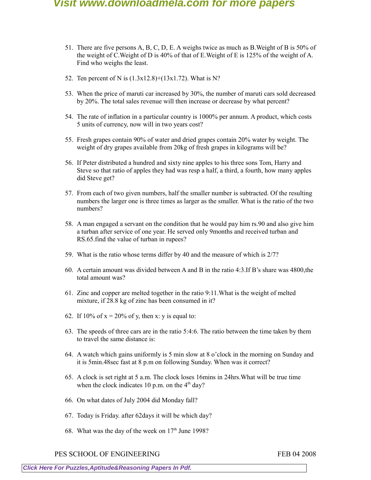- 51. There are five persons A, B, C, D, E. A weighs twice as much as B.Weight of B is 50% of the weight of C.Weight of D is 40% of that of E.Weight of E is 125% of the weight of A. Find who weighs the least.
- 52. Ten percent of N is (1.3x12.8)+(13x1.72). What is N?
- 53. When the price of maruti car increased by 30%, the number of maruti cars sold decreased by 20%. The total sales revenue will then increase or decrease by what percent?
- 54. The rate of inflation in a particular country is 1000% per annum. A product, which costs 5 units of currency, now will in two years cost?
- 55. Fresh grapes contain 90% of water and dried grapes contain 20% water by weight. The weight of dry grapes available from 20kg of fresh grapes in kilograms will be?
- 56. If Peter distributed a hundred and sixty nine apples to his three sons Tom, Harry and Steve so that ratio of apples they had was resp a half, a third, a fourth, how many apples did Steve get?
- 57. From each of two given numbers, half the smaller number is subtracted. Of the resulting numbers the larger one is three times as larger as the smaller. What is the ratio of the two numbers?
- 58. A man engaged a servant on the condition that he would pay him rs.90 and also give him a turban after service of one year. He served only 9months and received turban and RS.65.find the value of turban in rupees?
- 59. What is the ratio whose terms differ by 40 and the measure of which is 2/7?
- 60. A certain amount was divided between A and B in the ratio 4:3.If B's share was 4800,the total amount was?
- 61. Zinc and copper are melted together in the ratio 9:11.What is the weight of melted mixture, if 28.8 kg of zinc has been consumed in it?
- 62. If 10% of  $x = 20\%$  of y, then x: y is equal to:
- 63. The speeds of three cars are in the ratio 5:4:6. The ratio between the time taken by them to travel the same distance is:
- 64. A watch which gains uniformly is 5 min slow at 8 o'clock in the morning on Sunday and it is 5min.48sec fast at 8 p.m on following Sunday. When was it correct?
- 65. A clock is set right at 5 a.m. The clock loses 16mins in 24hrs.What will be true time when the clock indicates 10 p.m. on the  $4<sup>th</sup>$  day?
- 66. On what dates of July 2004 did Monday fall?
- 67. Today is Friday. after 62days it will be which day?
- 68. What was the day of the week on  $17<sup>th</sup>$  June 1998?

PES SCHOOL OF ENGINEERING FEB 04 2008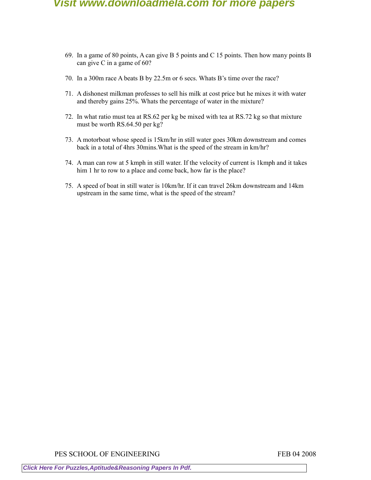- 69. In a game of 80 points, A can give B 5 points and C 15 points. Then how many points B can give C in a game of 60?
- 70. In a 300m race A beats B by 22.5m or 6 secs. Whats B's time over the race?
- 71. A dishonest milkman professes to sell his milk at cost price but he mixes it with water and thereby gains 25%. Whats the percentage of water in the mixture?
- 72. In what ratio must tea at RS.62 per kg be mixed with tea at RS.72 kg so that mixture must be worth RS.64.50 per kg?
- 73. A motorboat whose speed is 15km/hr in still water goes 30km downstream and comes back in a total of 4hrs 30mins.What is the speed of the stream in km/hr?
- 74. A man can row at 5 kmph in still water. If the velocity of current is 1kmph and it takes him 1 hr to row to a place and come back, how far is the place?
- 75. A speed of boat in still water is 10km/hr. If it can travel 26km downstream and 14km upstream in the same time, what is the speed of the stream?

PES SCHOOL OF ENGINEERING FEB 04 2008